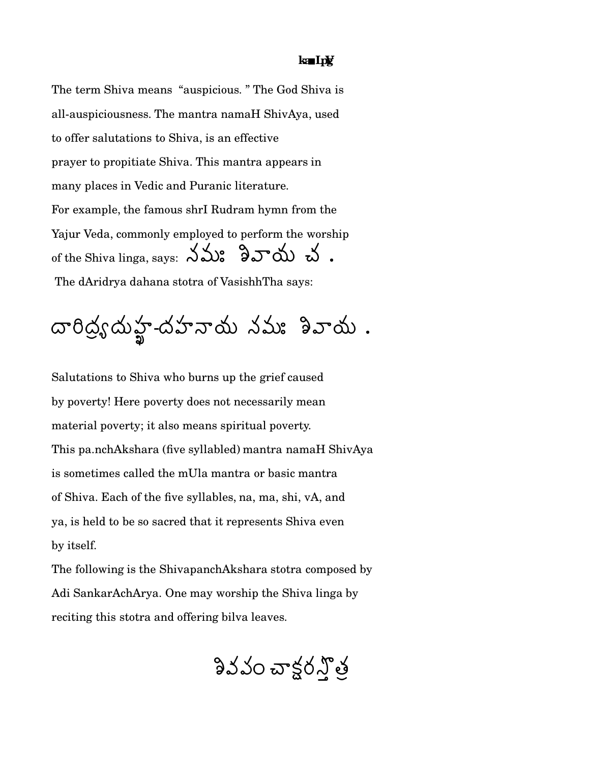## ka In**y**

The term Shiva means "auspicious." The God Shiva is all-auspiciousness. The mantra namaH ShivAya, used to offer salutations to Shiva, is an effective prayer to propitiate Shiva. This mantra appears in many places in Vedic and Puranic literature. For example, the famous shrI Rudram hymn from the Yajur Veda, commonly employed to perform the worship of the Shiva linga, says:  $\lambda \Delta$ :  $\partial \mathcal{S}$   $\Delta$   $\Delta$  . The dAridrya dahana stotra of VasishhTha says:

Salutations to Shiva who burns up the grief caused by poverty! Here poverty does not necessarily mean material poverty; it also means spiritual poverty. This pa.nchAkshara (five syllabled) mantra namaH ShivAya is sometimes called the mUla mantra or basic mantra of Shiva. Each of the five syllables, na, ma, shi, vA, and ya, is held to be so sacred that it represents Shiva even by itself.

The following is the ShivapanchAkshara stotra composed by Adi SankarAchArya. One may worship the Shiva linga by reciting this stotra and offering bilva leaves.

నివవం చాక్టర్నోత్త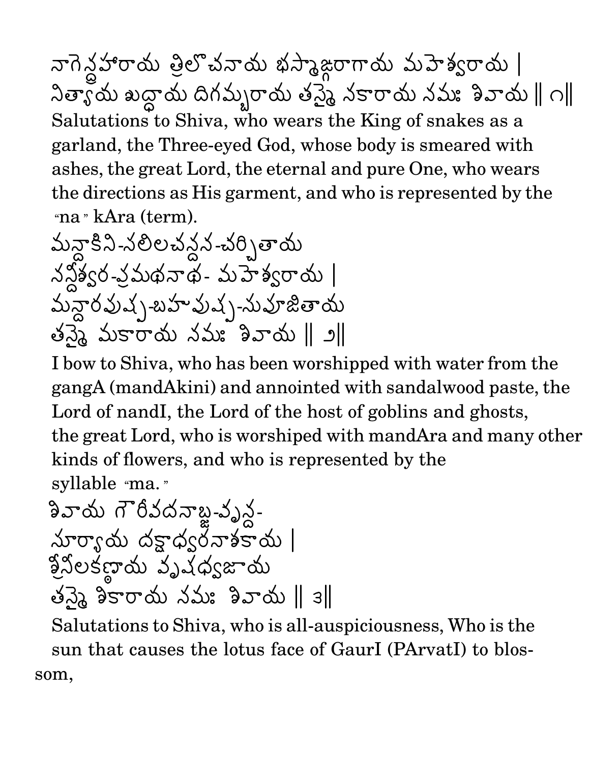నాగెన్డహారాయ త్రిలొచనాయ భస్మాజ్గరాయ మహెశ్వరాయ |  $\lambda$ త్యాయ బద్దాయ దిగమ్బరాయ తన్నై నకారాయ నమః శివాయ  $\parallel$  ౧ $\parallel$ Salutations to Shiva, who wears the King of snakes as a garland, the Three-eyed God, whose body is smeared with ashes, the great Lord, the eternal and pure One, who wears the directions as His garment, and who is represented by the "na » kAra (term).

I bow to Shiva, who has been worshipped with water from the gangA (mandAkini) and annointed with sandalwood paste, the Lord of nandI, the Lord of the host of goblins and ghosts, the great Lord, who is worshiped with mandAra and many other kinds of flowers, and who is represented by the syllable "ma."

Salutations to Shiva, who is all-auspiciousness, Who is the sun that causes the lotus face of GaurI (PArvatI) to blossom,